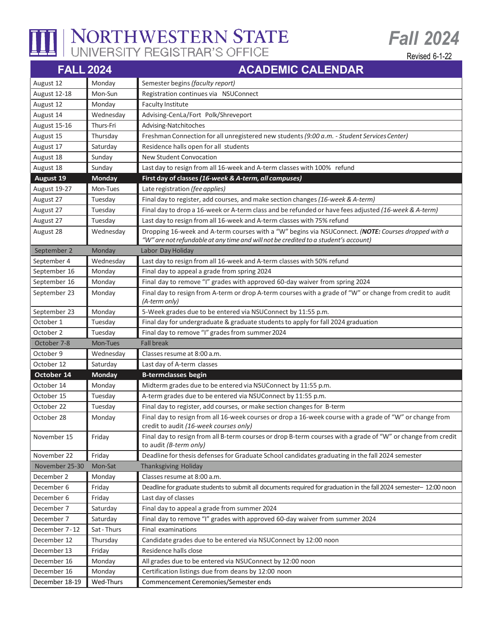

## NORTHWESTERN STATE

Revised 6-1-22

*Fall 2024*

| <b>FALL 2024</b> |               | <b>ACADEMIC CALENDAR</b>                                                                                                                           |
|------------------|---------------|----------------------------------------------------------------------------------------------------------------------------------------------------|
| August 12        | Monday        | Semester begins (faculty report)                                                                                                                   |
| August 12-18     | Mon-Sun       | Registration continues via NSUConnect                                                                                                              |
| August 12        | Monday        | <b>Faculty Institute</b>                                                                                                                           |
| August 14        | Wednesday     | Advising-CenLa/Fort Polk/Shreveport                                                                                                                |
| August 15-16     | Thurs-Fri     | Advising-Natchitoches                                                                                                                              |
| August 15        | Thursday      | Freshman Connection for all unregistered new students (9:00 a.m. - Student Services Center)                                                        |
| August 17        | Saturday      | Residence halls open for all students                                                                                                              |
| August 18        | Sunday        | <b>New Student Convocation</b>                                                                                                                     |
| August 18        | Sunday        | Last day to resign from all 16-week and A-term classes with 100% refund                                                                            |
| <b>August 19</b> | Monday        | First day of classes (16-week & A-term, all campuses)                                                                                              |
| August 19-27     | Mon-Tues      | Late registration (fee applies)                                                                                                                    |
| August 27        | Tuesday       | Final day to register, add courses, and make section changes (16-week & A-term)                                                                    |
| August 27        | Tuesday       | Final day to drop a 16-week or A-term class and be refunded or have fees adjusted (16-week & A-term)                                               |
| August 27        | Tuesday       | Last day to resign from all 16-week and A-term classes with 75% refund                                                                             |
| August 28        | Wednesday     | Dropping 16-week and A-term courses with a "W" begins via NSUConnect. (NOTE: Courses dropped with a                                                |
|                  |               | "W" are not refundable at any time and will not be credited to a student's account)                                                                |
| September 2      | Monday        | Labor Day Holiday                                                                                                                                  |
| September 4      | Wednesday     | Last day to resign from all 16-week and A-term classes with 50% refund                                                                             |
| September 16     | Monday        | Final day to appeal a grade from spring 2024                                                                                                       |
| September 16     | Monday        | Final day to remove "I" grades with approved 60-day waiver from spring 2024                                                                        |
| September 23     | Monday        | Final day to resign from A-term or drop A-term courses with a grade of "W" or change from credit to audit<br>(A-term only)                         |
| September 23     | Monday        | 5-Week grades due to be entered via NSUConnect by 11:55 p.m.                                                                                       |
| October 1        | Tuesday       | Final day for undergraduate & graduate students to apply for fall 2024 graduation                                                                  |
| October 2        | Tuesday       | Final day to remove "I" grades from summer 2024                                                                                                    |
| October 7-8      | Mon-Tues      | <b>Fall break</b>                                                                                                                                  |
| October 9        | Wednesday     | Classes resume at 8:00 a.m.                                                                                                                        |
| October 12       | Saturday      | Last day of A-term classes                                                                                                                         |
| October 14       | <b>Monday</b> | <b>B-termclasses begin</b>                                                                                                                         |
| October 14       | Monday        | Midterm grades due to be entered via NSUConnect by 11:55 p.m.                                                                                      |
| October 15       | Tuesday       | A-term grades due to be entered via NSUConnect by 11:55 p.m.                                                                                       |
| October 22       | Tuesday       | Final day to register, add courses, or make section changes for B-term                                                                             |
| October 28       | Monday        | Final day to resign from all 16-week courses or drop a 16-week course with a grade of "W" or change from<br>credit to audit (16-week courses only) |
| November 15      | Friday        | Final day to resign from all B-term courses or drop B-term courses with a grade of "W" or change from credit<br>to audit (B-term only)             |
| November 22      | Friday        | Deadline for thesis defenses for Graduate School candidates graduating in the fall 2024 semester                                                   |
| November 25-30   | Mon-Sat       | Thanksgiving Holiday                                                                                                                               |
| December 2       | Monday        | Classes resume at 8:00 a.m.                                                                                                                        |
| December 6       | Friday        | Deadline for graduate students to submit all documents required for graduation in the fall 2024 semester- 12:00 noon                               |
| December 6       | Friday        | Last day of classes                                                                                                                                |
| December 7       | Saturday      | Final day to appeal a grade from summer 2024                                                                                                       |
| December 7       | Saturday      | Final day to remove "I" grades with approved 60-day waiver from summer 2024                                                                        |
| December 7-12    | Sat - Thurs   | Final examinations                                                                                                                                 |
| December 12      | Thursday      | Candidate grades due to be entered via NSUConnect by 12:00 noon                                                                                    |
| December 13      | Friday        | Residence halls close                                                                                                                              |
| December 16      | Monday        | All grades due to be entered via NSUConnect by 12:00 noon                                                                                          |
| December 16      | Monday        | Certification listings due from deans by 12:00 noon                                                                                                |
| December 18-19   | Wed-Thurs     | Commencement Ceremonies/Semester ends                                                                                                              |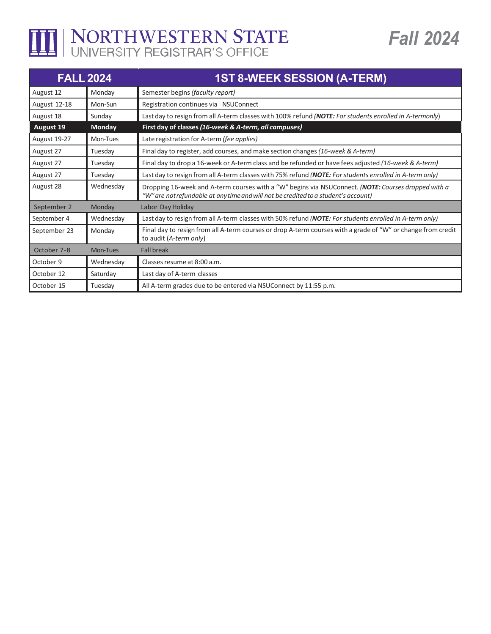

## THE NORTHWESTERN STATE

| <b>FALL 2024</b> |               | <b>1ST 8-WEEK SESSION (A-TERM)</b>                                                                                                                                                         |
|------------------|---------------|--------------------------------------------------------------------------------------------------------------------------------------------------------------------------------------------|
| August 12        | Monday        | Semester begins (faculty report)                                                                                                                                                           |
| August 12-18     | Mon-Sun       | Registration continues via NSUConnect                                                                                                                                                      |
| August 18        | Sunday        | Last day to resign from all A-term classes with 100% refund (NOTE: For students enrolled in A-termonly)                                                                                    |
| <b>August 19</b> | <b>Monday</b> | First day of classes (16-week & A-term, all campuses)                                                                                                                                      |
| August 19-27     | Mon-Tues      | Late registration for A-term (fee applies)                                                                                                                                                 |
| August 27        | Tuesday       | Final day to register, add courses, and make section changes (16-week & A-term)                                                                                                            |
| August 27        | Tuesday       | Final day to drop a 16-week or A-term class and be refunded or have fees adjusted (16-week & A-term)                                                                                       |
| August 27        | Tuesday       | Last day to resign from all A-term classes with 75% refund (NOTE: For students enrolled in A-term only)                                                                                    |
| August 28        | Wednesday     | Dropping 16-week and A-term courses with a "W" begins via NSUConnect. (NOTE: Courses dropped with a<br>"W" are not refundable at any time and will not be credited to a student's account) |
| September 2      | Monday        | Labor Day Holiday                                                                                                                                                                          |
| September 4      | Wednesdav     | Last day to resign from all A-term classes with 50% refund ( <b>NOTE</b> : For students enrolled in A-term only)                                                                           |
| September 23     | Monday        | Final day to resign from all A-term courses or drop A-term courses with a grade of "W" or change from credit<br>to audit (A-term only)                                                     |
| October 7-8      | Mon-Tues      | <b>Fall break</b>                                                                                                                                                                          |
| October 9        | Wednesday     | Classes resume at 8:00 a.m.                                                                                                                                                                |
| October 12       | Saturday      | Last day of A-term classes                                                                                                                                                                 |
| October 15       | Tuesday       | All A-term grades due to be entered via NSUConnect by 11:55 p.m.                                                                                                                           |

**Fall 2024**